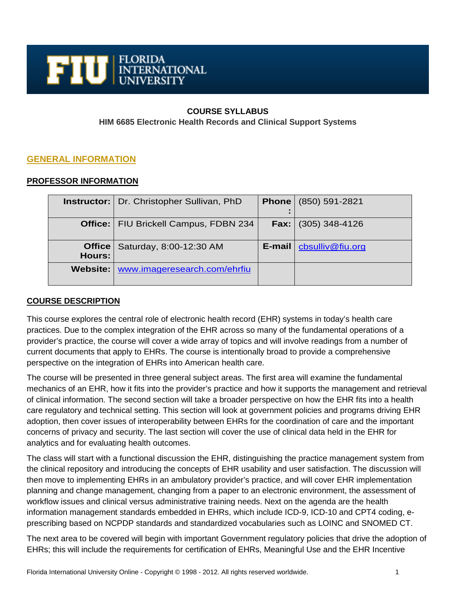

# **COURSE SYLLABUS HIM 6685 Electronic Health Records and Clinical Support Systems**

## **GENERAL INFORMATION**

### **PROFESSOR INFORMATION**

|                                | <b>Instructor:</b>   Dr. Christopher Sullivan, PhD |        | <b>Phone</b> (850) 591-2821  |
|--------------------------------|----------------------------------------------------|--------|------------------------------|
| Office: $\vert$                | FIU Brickell Campus, FDBN 234                      |        | <b>Fax:</b> $(305)$ 348-4126 |
| <b>Office</b><br><b>Hours:</b> | Saturday, 8:00-12:30 AM                            | E-mail | cbsulliv@fiu.org             |
|                                | Website:   www.imageresearch.com/ehrfiu            |        |                              |

## **COURSE DESCRIPTION**

This course explores the central role of electronic health record (EHR) systems in today's health care practices. Due to the complex integration of the EHR across so many of the fundamental operations of a provider's practice, the course will cover a wide array of topics and will involve readings from a number of current documents that apply to EHRs. The course is intentionally broad to provide a comprehensive perspective on the integration of EHRs into American health care.

The course will be presented in three general subject areas. The first area will examine the fundamental mechanics of an EHR, how it fits into the provider's practice and how it supports the management and retrieval of clinical information. The second section will take a broader perspective on how the EHR fits into a health care regulatory and technical setting. This section will look at government policies and programs driving EHR adoption, then cover issues of interoperability between EHRs for the coordination of care and the important concerns of privacy and security. The last section will cover the use of clinical data held in the EHR for analytics and for evaluating health outcomes.

The class will start with a functional discussion the EHR, distinguishing the practice management system from the clinical repository and introducing the concepts of EHR usability and user satisfaction. The discussion will then move to implementing EHRs in an ambulatory provider's practice, and will cover EHR implementation planning and change management, changing from a paper to an electronic environment, the assessment of workflow issues and clinical versus administrative training needs. Next on the agenda are the health information management standards embedded in EHRs, which include ICD-9, ICD-10 and CPT4 coding, eprescribing based on NCPDP standards and standardized vocabularies such as LOINC and SNOMED CT.

The next area to be covered will begin with important Government regulatory policies that drive the adoption of EHRs; this will include the requirements for certification of EHRs, Meaningful Use and the EHR Incentive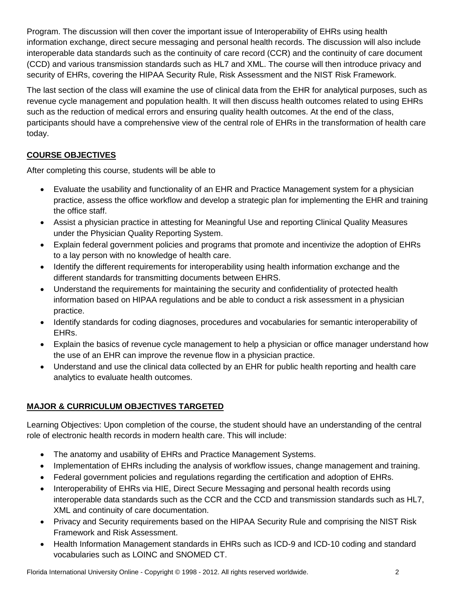Program. The discussion will then cover the important issue of Interoperability of EHRs using health information exchange, direct secure messaging and personal health records. The discussion will also include interoperable data standards such as the continuity of care record (CCR) and the continuity of care document (CCD) and various transmission standards such as HL7 and XML. The course will then introduce privacy and security of EHRs, covering the HIPAA Security Rule, Risk Assessment and the NIST Risk Framework.

The last section of the class will examine the use of clinical data from the EHR for analytical purposes, such as revenue cycle management and population health. It will then discuss health outcomes related to using EHRs such as the reduction of medical errors and ensuring quality health outcomes. At the end of the class, participants should have a comprehensive view of the central role of EHRs in the transformation of health care today.

# **COURSE OBJECTIVES**

After completing this course, students will be able to

- Evaluate the usability and functionality of an EHR and Practice Management system for a physician practice, assess the office workflow and develop a strategic plan for implementing the EHR and training the office staff.
- Assist a physician practice in attesting for Meaningful Use and reporting Clinical Quality Measures under the Physician Quality Reporting System.
- Explain federal government policies and programs that promote and incentivize the adoption of EHRs to a lay person with no knowledge of health care.
- Identify the different requirements for interoperability using health information exchange and the different standards for transmitting documents between EHRS.
- Understand the requirements for maintaining the security and confidentiality of protected health information based on HIPAA regulations and be able to conduct a risk assessment in a physician practice.
- Identify standards for coding diagnoses, procedures and vocabularies for semantic interoperability of EHRs.
- Explain the basics of revenue cycle management to help a physician or office manager understand how the use of an EHR can improve the revenue flow in a physician practice.
- Understand and use the clinical data collected by an EHR for public health reporting and health care analytics to evaluate health outcomes.

# **MAJOR & CURRICULUM OBJECTIVES TARGETED**

Learning Objectives: Upon completion of the course, the student should have an understanding of the central role of electronic health records in modern health care. This will include:

- The anatomy and usability of EHRs and Practice Management Systems.
- Implementation of EHRs including the analysis of workflow issues, change management and training.
- Federal government policies and regulations regarding the certification and adoption of EHRs.
- Interoperability of EHRs via HIE, Direct Secure Messaging and personal health records using interoperable data standards such as the CCR and the CCD and transmission standards such as HL7, XML and continuity of care documentation.
- Privacy and Security requirements based on the HIPAA Security Rule and comprising the NIST Risk Framework and Risk Assessment.
- Health Information Management standards in EHRs such as ICD-9 and ICD-10 coding and standard vocabularies such as LOINC and SNOMED CT.

Florida International University Online - Copyright © 1998 - 2012. All rights reserved worldwide. 2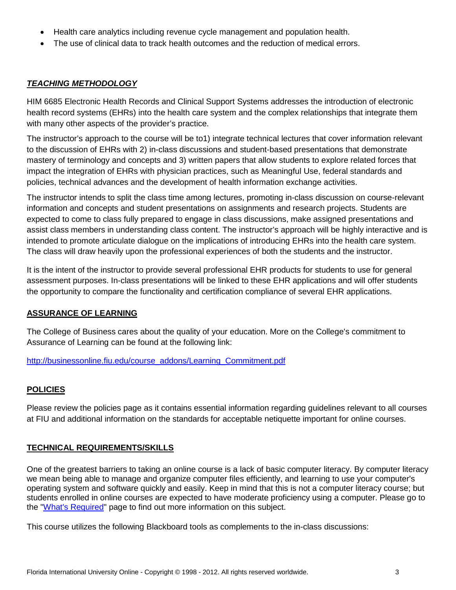- Health care analytics including revenue cycle management and population health.
- The use of clinical data to track health outcomes and the reduction of medical errors.

### *TEACHING METHODOLOGY*

HIM 6685 Electronic Health Records and Clinical Support Systems addresses the introduction of electronic health record systems (EHRs) into the health care system and the complex relationships that integrate them with many other aspects of the provider's practice.

The instructor's approach to the course will be to1) integrate technical lectures that cover information relevant to the discussion of EHRs with 2) in-class discussions and student-based presentations that demonstrate mastery of terminology and concepts and 3) written papers that allow students to explore related forces that impact the integration of EHRs with physician practices, such as Meaningful Use, federal standards and policies, technical advances and the development of health information exchange activities.

The instructor intends to split the class time among lectures, promoting in-class discussion on course-relevant information and concepts and student presentations on assignments and research projects. Students are expected to come to class fully prepared to engage in class discussions, make assigned presentations and assist class members in understanding class content. The instructor's approach will be highly interactive and is intended to promote articulate dialogue on the implications of introducing EHRs into the health care system. The class will draw heavily upon the professional experiences of both the students and the instructor.

It is the intent of the instructor to provide several professional EHR products for students to use for general assessment purposes. In-class presentations will be linked to these EHR applications and will offer students the opportunity to compare the functionality and certification compliance of several EHR applications.

### **ASSURANCE OF LEARNING**

The College of Business cares about the quality of your education. More on the College's commitment to Assurance of Learning can be found at the following link:

[http://businessonline.fiu.edu/course\\_addons/Learning\\_Commitment.pdf](http://businessonline.fiu.edu/course_addons/Learning_Commitment.pdf)

### **POLICIES**

Please review the policies page as it contains essential information regarding guidelines relevant to all courses at FIU and additional information on the standards for acceptable netiquette important for online courses.

### **TECHNICAL REQUIREMENTS/SKILLS**

One of the greatest barriers to taking an online course is a lack of basic computer literacy. By computer literacy we mean being able to manage and organize computer files efficiently, and learning to use your computer's operating system and software quickly and easily. Keep in mind that this is not a computer literacy course; but students enrolled in online courses are expected to have moderate proficiency using a computer. Please go to the ["What's Required"](http://online.fiu.edu/futurestudents/whatsrequired) page to find out more information on this subject.

This course utilizes the following Blackboard tools as complements to the in-class discussions: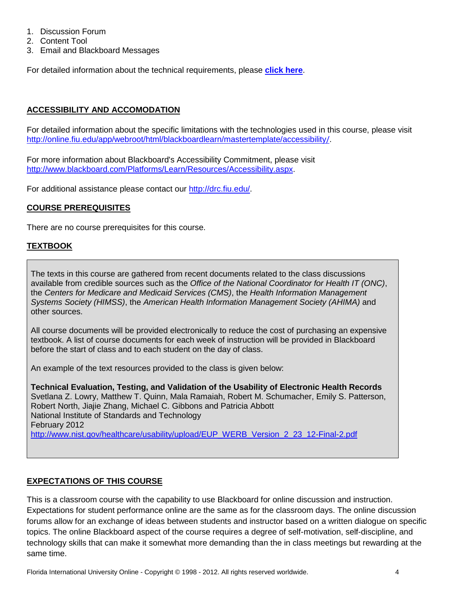- 1. Discussion Forum
- 2. Content Tool
- 3. Email and Blackboard Messages

For detailed information about the technical requirements, please **[click here](http://online.fiu.edu/app/webroot/html/blackboardlearn/mastertemplate/technical_requirements/)**.

# **ACCESSIBILITY AND ACCOMODATION**

For detailed information about the specific limitations with the technologies used in this course, please visit [http://online.fiu.edu/app/webroot/html/blackboardlearn/mastertemplate/accessibility](http://online.fiu.edu/app/webroot/html/blackboardlearn/mastertemplate/accessibility/)/.

For more information about Blackboard's Accessibility Commitment, please visit [http://www.blackboard.com/Platforms/Learn/Resources/Accessibility.aspx.](http://www.blackboard.com/Platforms/Learn/Resources/Accessibility.aspx)

For additional assistance please contact our [http://drc.fiu.edu/.](http://drc.fiu.edu/)

## **COURSE PREREQUISITES**

There are no course prerequisites for this course.

### **TEXTBOOK**

The texts in this course are gathered from recent documents related to the class discussions available from credible sources such as the *Office of the National Coordinator for Health IT (ONC)*, the *Centers for Medicare and Medicaid Services (CMS)*, the *Health Information Management Systems Society (HIMSS)*, the *American Health Information Management Society (AHIMA)* and other sources.

All course documents will be provided electronically to reduce the cost of purchasing an expensive textbook. A list of course documents for each week of instruction will be provided in Blackboard before the start of class and to each student on the day of class.

An example of the text resources provided to the class is given below:

**Technical Evaluation, Testing, and Validation of the Usability of Electronic Health Records**  Svetlana Z. Lowry, Matthew T. Quinn, Mala Ramaiah, Robert M. Schumacher, Emily S. Patterson, Robert North, Jiajie Zhang, Michael C. Gibbons and Patricia Abbott National Institute of Standards and Technology February 2012 [http://www.nist.gov/healthcare/usability/upload/EUP\\_WERB\\_Version\\_2\\_23\\_12-Final-2.pdf](http://www.nist.gov/healthcare/usability/upload/EUP_WERB_Version_2_23_12-Final-2.pdf)

## **EXPECTATIONS OF THIS COURSE**

This is a classroom course with the capability to use Blackboard for online discussion and instruction. Expectations for student performance online are the same as for the classroom days. The online discussion forums allow for an exchange of ideas between students and instructor based on a written dialogue on specific topics. The online Blackboard aspect of the course requires a degree of self-motivation, self-discipline, and technology skills that can make it somewhat more demanding than the in class meetings but rewarding at the same time.

Florida International University Online - Copyright © 1998 - 2012. All rights reserved worldwide. 4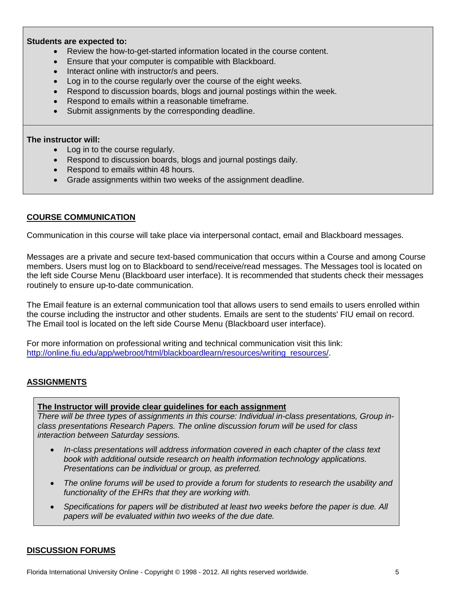#### **Students are expected to:**

- Review the how-to-get-started information located in the course content.
- Ensure that your computer is compatible with Blackboard.
- Interact online with instructor/s and peers.
- Log in to the course regularly over the course of the eight weeks.
- Respond to discussion boards, blogs and journal postings within the week.
- Respond to emails within a reasonable timeframe.
- Submit assignments by the corresponding deadline.

#### **The instructor will:**

- Log in to the course regularly.
- Respond to discussion boards, blogs and journal postings daily.
- Respond to emails within 48 hours.
- Grade assignments within two weeks of the assignment deadline.

#### **COURSE COMMUNICATION**

Communication in this course will take place via interpersonal contact, email and Blackboard messages.

Messages are a private and secure text-based communication that occurs within a Course and among Course members. Users must log on to Blackboard to send/receive/read messages. The Messages tool is located on the left side Course Menu (Blackboard user interface). It is recommended that students check their messages routinely to ensure up-to-date communication.

The Email feature is an external communication tool that allows users to send emails to users enrolled within the course including the instructor and other students. Emails are sent to the students' FIU email on record. The Email tool is located on the left side Course Menu (Blackboard user interface).

For more information on professional writing and technical communication visit this link: [http://online.fiu.edu/app/webroot/html/blackboardlearn/resources/writing\\_resources/.](http://online.fiu.edu/app/webroot/html/blackboardlearn/resources/writing_resources/)

### **ASSIGNMENTS**

#### **The Instructor will provide clear guidelines for each assignment**

*There will be three types of assignments in this course: Individual in-class presentations, Group inclass presentations Research Papers. The online discussion forum will be used for class interaction between Saturday sessions.*

- *In-class presentations will address information covered in each chapter of the class text book with additional outside research on health information technology applications. Presentations can be individual or group, as preferred.*
- *The online forums will be used to provide a forum for students to research the usability and functionality of the EHRs that they are working with.*
- *Specifications for papers will be distributed at least two weeks before the paper is due. All papers will be evaluated within two weeks of the due date.*

#### **DISCUSSION FORUMS**

Florida International University Online - Copyright © 1998 - 2012. All rights reserved worldwide. 5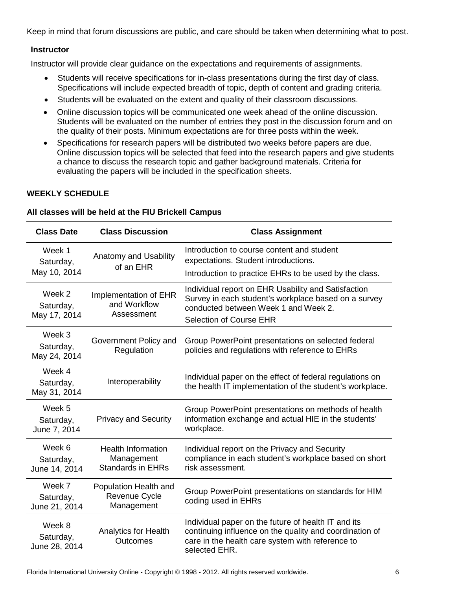Keep in mind that forum discussions are public, and care should be taken when determining what to post.

### **Instructor**

Instructor will provide clear guidance on the expectations and requirements of assignments.

- Students will receive specifications for in-class presentations during the first day of class. Specifications will include expected breadth of topic, depth of content and grading criteria.
- Students will be evaluated on the extent and quality of their classroom discussions.
- Online discussion topics will be communicated one week ahead of the online discussion. Students will be evaluated on the number of entries they post in the discussion forum and on the quality of their posts. Minimum expectations are for three posts within the week.
- Specifications for research papers will be distributed two weeks before papers are due. Online discussion topics will be selected that feed into the research papers and give students a chance to discuss the research topic and gather background materials. Criteria for evaluating the papers will be included in the specification sheets.

### **WEEKLY SCHEDULE**

|  | <b>Class Date</b>                    | <b>Class Discussion</b>                                             | <b>Class Assignment</b>                                                                                                                                                               |
|--|--------------------------------------|---------------------------------------------------------------------|---------------------------------------------------------------------------------------------------------------------------------------------------------------------------------------|
|  | Week 1<br>Saturday,                  | Anatomy and Usability<br>of an EHR                                  | Introduction to course content and student<br>expectations. Student introductions.                                                                                                    |
|  | May 10, 2014                         |                                                                     | Introduction to practice EHRs to be used by the class.                                                                                                                                |
|  | Week 2<br>Saturday,<br>May 17, 2014  | Implementation of EHR<br>and Workflow<br>Assessment                 | Individual report on EHR Usability and Satisfaction<br>Survey in each student's workplace based on a survey<br>conducted between Week 1 and Week 2.<br><b>Selection of Course EHR</b> |
|  | Week 3<br>Saturday,<br>May 24, 2014  | Government Policy and<br>Regulation                                 | Group PowerPoint presentations on selected federal<br>policies and regulations with reference to EHRs                                                                                 |
|  | Week 4<br>Saturday,<br>May 31, 2014  | Interoperability                                                    | Individual paper on the effect of federal regulations on<br>the health IT implementation of the student's workplace.                                                                  |
|  | Week 5<br>Saturday,<br>June 7, 2014  | <b>Privacy and Security</b>                                         | Group PowerPoint presentations on methods of health<br>information exchange and actual HIE in the students'<br>workplace.                                                             |
|  | Week 6<br>Saturday,<br>June 14, 2014 | <b>Health Information</b><br>Management<br><b>Standards in EHRs</b> | Individual report on the Privacy and Security<br>compliance in each student's workplace based on short<br>risk assessment.                                                            |
|  | Week 7<br>Saturday,<br>June 21, 2014 | Population Health and<br>Revenue Cycle<br>Management                | Group PowerPoint presentations on standards for HIM<br>coding used in EHRs                                                                                                            |
|  | Week 8<br>Saturday,<br>June 28, 2014 | <b>Analytics for Health</b><br>Outcomes                             | Individual paper on the future of health IT and its<br>continuing influence on the quality and coordination of<br>care in the health care system with reference to<br>selected EHR.   |

#### **All classes will be held at the FIU Brickell Campus**